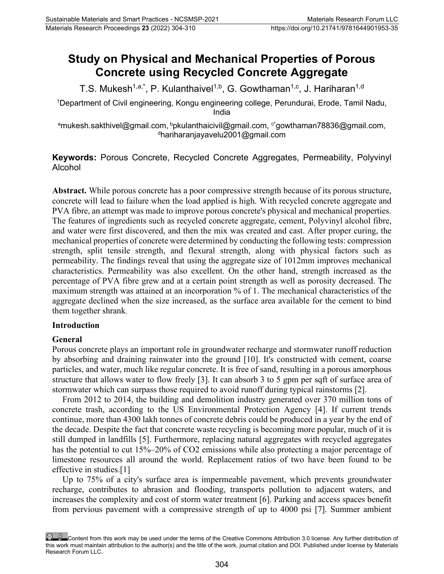# **Study on Physical and Mechanical Properties of Porous Concrete using Recycled Concrete Aggregate**

T.S. Mukesh<sup>1,a,\*</sup>, P. Kulanthaivel<sup>1,b</sup>, G. Gowthaman<sup>1,c</sup>, J. Hariharan<sup>1,d</sup>

1 Department of Civil engineering, Kongu engineering college, Perundurai, Erode, Tamil Nadu, India

 $^{\rm a}$ mukesh.sakthivel@gmail.com,  $^{\rm b}$ pkulanthaicivil@gmail.com,  $^{\rm c}$ ʻgowthaman78836@gmail.com,  $^{\text{d}}$ hariharanjayavelu2001@gmail.com

# **Keywords:** Porous Concrete, Recycled Concrete Aggregates, Permeability, Polyvinyl Alcohol

**Abstract.** While porous concrete has a poor compressive strength because of its porous structure, concrete will lead to failure when the load applied is high. With recycled concrete aggregate and PVA fibre, an attempt was made to improve porous concrete's physical and mechanical properties. The features of ingredients such as recycled concrete aggregate, cement, Polyvinyl alcohol fibre, and water were first discovered, and then the mix was created and cast. After proper curing, the mechanical properties of concrete were determined by conducting the following tests: compression strength, split tensile strength, and flexural strength, along with physical factors such as permeability. The findings reveal that using the aggregate size of 1012mm improves mechanical characteristics. Permeability was also excellent. On the other hand, strength increased as the percentage of PVA fibre grew and at a certain point strength as well as porosity decreased. The maximum strength was attained at an incorporation % of 1. The mechanical characteristics of the aggregate declined when the size increased, as the surface area available for the cement to bind them together shrank.

## **Introduction**

## **General**

Porous concrete plays an important role in groundwater recharge and stormwater runoff reduction by absorbing and draining rainwater into the ground [10]. It's constructed with cement, coarse particles, and water, much like regular concrete. It is free of sand, resulting in a porous amorphous structure that allows water to flow freely [3]. It can absorb 3 to 5 gpm per sqft of surface area of stormwater which can surpass those required to avoid runoff during typical rainstorms [2].

From 2012 to 2014, the building and demolition industry generated over 370 million tons of concrete trash, according to the US Environmental Protection Agency [4]. If current trends continue, more than 4300 lakh tonnes of concrete debris could be produced in a year by the end of the decade. Despite the fact that concrete waste recycling is becoming more popular, much of it is still dumped in landfills [5]. Furthermore, replacing natural aggregates with recycled aggregates has the potential to cut 15%–20% of CO2 emissions while also protecting a major percentage of limestone resources all around the world. Replacement ratios of two have been found to be effective in studies.[1]

Up to 75% of a city's surface area is impermeable pavement, which prevents groundwater recharge, contributes to abrasion and flooding, transports pollution to adjacent waters, and increases the complexity and cost of storm water treatment [6]. Parking and access spaces benefit from pervious pavement with a compressive strength of up to 4000 psi [7]. Summer ambient

Content from this work may be used under the terms of the Creative Commons Attribution 3.0 license. Any further distribution of this work must maintain attribution to the author(s) and the title of the work, journal citation and DOI. Published under license by Materials Research Forum LLC.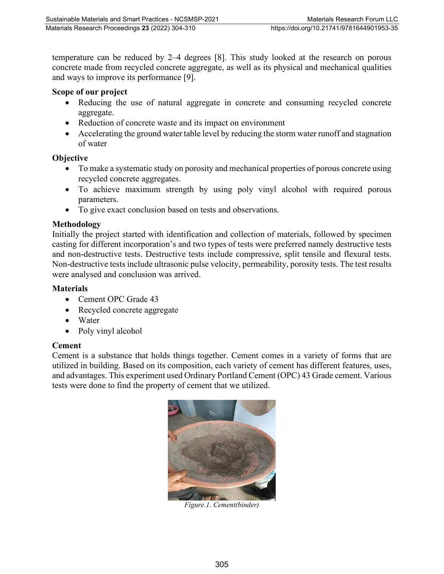temperature can be reduced by 2–4 degrees [8]. This study looked at the research on porous concrete made from recycled concrete aggregate, as well as its physical and mechanical qualities and ways to improve its performance [9].

#### **Scope of our project**

- Reducing the use of natural aggregate in concrete and consuming recycled concrete aggregate.
- Reduction of concrete waste and its impact on environment
- Accelerating the ground water table level by reducing the storm water runoff and stagnation of water

#### **Objective**

- To make a systematic study on porosity and mechanical properties of porous concrete using recycled concrete aggregates.
- To achieve maximum strength by using poly vinyl alcohol with required porous parameters.
- To give exact conclusion based on tests and observations.

## **Methodology**

Initially the project started with identification and collection of materials, followed by specimen casting for different incorporation's and two types of tests were preferred namely destructive tests and non-destructive tests. Destructive tests include compressive, split tensile and flexural tests. Non-destructive tests include ultrasonic pulse velocity, permeability, porosity tests. The test results were analysed and conclusion was arrived.

#### **Materials**

- Cement OPC Grade 43
- Recycled concrete aggregate
- Water
- Poly vinyl alcohol

## **Cement**

Cement is a substance that holds things together. Cement comes in a variety of forms that are utilized in building. Based on its composition, each variety of cement has different features, uses, and advantages. This experiment used Ordinary Portland Cement (OPC) 43 Grade cement. Various tests were done to find the property of cement that we utilized.



*Figure.1. Cement(binder)*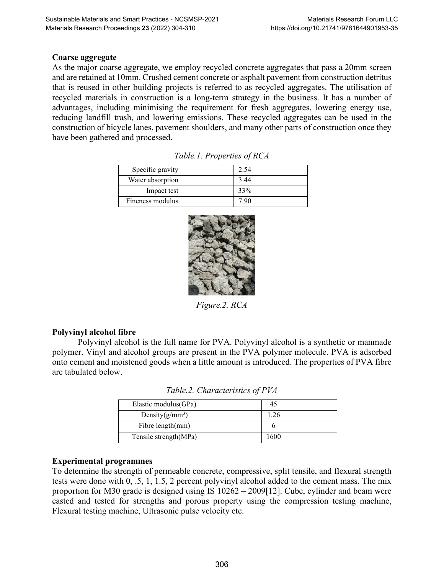#### **Coarse aggregate**

As the major coarse aggregate, we employ recycled concrete aggregates that pass a 20mm screen and are retained at 10mm. Crushed cement concrete or asphalt pavement from construction detritus that is reused in other building projects is referred to as recycled aggregates. The utilisation of recycled materials in construction is a long-term strategy in the business. It has a number of advantages, including minimising the requirement for fresh aggregates, lowering energy use, reducing landfill trash, and lowering emissions. These recycled aggregates can be used in the construction of bicycle lanes, pavement shoulders, and many other parts of construction once they have been gathered and processed.

| Specific gravity | 2.54    |
|------------------|---------|
| Water absorption | 3.44    |
| Impact test      | 33%     |
| Fineness modulus | $190 -$ |

*Table.1. Properties of RCA*



*Figure.2. RCA*

## **Polyvinyl alcohol fibre**

Polyvinyl alcohol is the full name for PVA. Polyvinyl alcohol is a synthetic or manmade polymer. Vinyl and alcohol groups are present in the PVA polymer molecule. PVA is adsorbed onto cement and moistened goods when a little amount is introduced. The properties of PVA fibre are tabulated below.

| Elastic modulus(GPa)  |      |
|-----------------------|------|
| Density $(g/mm^3)$    | 1.26 |
| Fibre length(mm)      |      |
| Tensile strength(MPa) | 1600 |

*Table.2. Characteristics of PVA* 

#### **Experimental programmes**

To determine the strength of permeable concrete, compressive, split tensile, and flexural strength tests were done with 0, .5, 1, 1.5, 2 percent polyvinyl alcohol added to the cement mass. The mix proportion for M30 grade is designed using IS 10262 – 2009[12]. Cube, cylinder and beam were casted and tested for strengths and porous property using the compression testing machine, Flexural testing machine, Ultrasonic pulse velocity etc.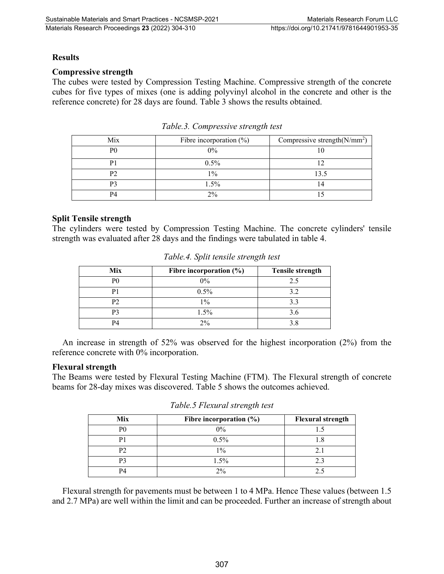#### **Results**

#### **Compressive strength**

The cubes were tested by Compression Testing Machine. Compressive strength of the concrete cubes for five types of mixes (one is adding polyvinyl alcohol in the concrete and other is the reference concrete) for 28 days are found. Table 3 shows the results obtained.

| Mix            | Fibre incorporation $(\%)$ | Compressive strength $(N/mm^2)$ |
|----------------|----------------------------|---------------------------------|
| P <sub>0</sub> | 0%                         |                                 |
|                | $0.5\%$                    |                                 |
|                | $1\%$                      | 13.5                            |
| P٠             | 1.5%                       |                                 |
| P4             | 2%                         |                                 |

#### **Split Tensile strength**

The cylinders were tested by Compression Testing Machine. The concrete cylinders' tensile strength was evaluated after 28 days and the findings were tabulated in table 4.

| Mix | Fibre incorporation $(\%)$ | <b>Tensile strength</b> |
|-----|----------------------------|-------------------------|
| РC  | $0\%$                      | 2.5                     |
| D.  | $0.5\%$                    | 3.2                     |
| pາ  | $1\%$                      | 3.3                     |
| P٦  | 1.5%                       | 3.6                     |
|     | 2%                         | 3.8                     |

*Table.4. Split tensile strength test*

An increase in strength of 52% was observed for the highest incorporation (2%) from the reference concrete with 0% incorporation.

#### **Flexural strength**

The Beams were tested by Flexural Testing Machine (FTM). The Flexural strength of concrete beams for 28-day mixes was discovered. Table 5 shows the outcomes achieved.

| Mix | Fibre incorporation $(\% )$ | <b>Flexural strength</b> |
|-----|-----------------------------|--------------------------|
| Рſ  | $0\%$                       |                          |
| D   | $0.5\%$                     |                          |
| p٥  | $1\%$                       |                          |
| D٦  | $1.5\%$                     | 2.3                      |
|     | $2\%$                       |                          |

*Table.5 Flexural strength test*

Flexural strength for pavements must be between 1 to 4 MPa. Hence These values (between 1.5 and 2.7 MPa) are well within the limit and can be proceeded. Further an increase of strength about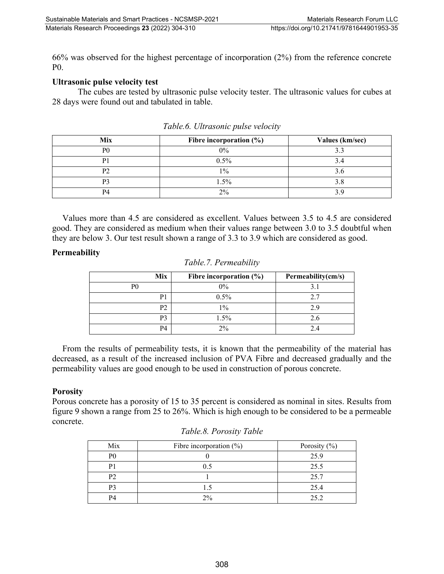66% was observed for the highest percentage of incorporation (2%) from the reference concrete P0.

### **Ultrasonic pulse velocity test**

The cubes are tested by ultrasonic pulse velocity tester. The ultrasonic values for cubes at 28 days were found out and tabulated in table.

| Mix            | Fibre incorporation $(\%)$ | Values (km/sec) |
|----------------|----------------------------|-----------------|
| P <sub>0</sub> | $0\%$                      |                 |
|                | 0.5%                       |                 |
| D٦             | $1\%$                      |                 |
|                | 1.5%                       |                 |
| DЛ             | 2%                         |                 |

*Table.6. Ultrasonic pulse velocity*

Values more than 4.5 are considered as excellent. Values between 3.5 to 4.5 are considered good. They are considered as medium when their values range between 3.0 to 3.5 doubtful when they are below 3. Our test result shown a range of 3.3 to 3.9 which are considered as good.

#### **Permeability**

| Fibre incorporation $(\% )$ | Permeability(cm/s) |
|-----------------------------|--------------------|
| $0\%$                       |                    |
| 0.5%                        | 2.7                |
| $1\%$                       | 29                 |
| 1.5%                        | 2.6                |
| $2\%$                       |                    |
|                             |                    |

| Table.7. Permeability |
|-----------------------|
|-----------------------|

From the results of permeability tests, it is known that the permeability of the material has decreased, as a result of the increased inclusion of PVA Fibre and decreased gradually and the permeability values are good enough to be used in construction of porous concrete.

#### **Porosity**

Porous concrete has a porosity of 15 to 35 percent is considered as nominal in sites. Results from figure 9 shown a range from 25 to 26%. Which is high enough to be considered to be a permeable concrete.

| Mix | Fibre incorporation $(\%)$ | Porosity (%) |
|-----|----------------------------|--------------|
| P0  |                            | 25.9         |
| D.  |                            | 25.5         |
| P2  |                            | 25.7         |
| P3  |                            | 25.4         |
| P4  | $2\%$                      | 252          |

*Table.8. Porosity Table*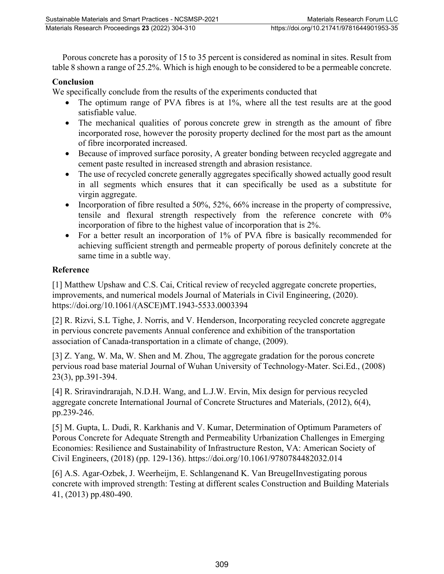Porous concrete has a porosity of 15 to 35 percent is considered as nominal in sites. Result from table 8 shown a range of 25.2%. Which is high enough to be considered to be a permeable concrete.

## **Conclusion**

We specifically conclude from the results of the experiments conducted that

- The optimum range of PVA fibres is at 1%, where all the test results are at the good satisfiable value.
- The mechanical qualities of porous concrete grew in strength as the amount of fibre incorporated rose, however the porosity property declined for the most part as the amount of fibre incorporated increased.
- Because of improved surface porosity, A greater bonding between recycled aggregate and cement paste resulted in increased strength and abrasion resistance.
- The use of recycled concrete generally aggregates specifically showed actually good result in all segments which ensures that it can specifically be used as a substitute for virgin aggregate.
- Incorporation of fibre resulted a 50%, 52%, 66% increase in the property of compressive, tensile and flexural strength respectively from the reference concrete with 0% incorporation of fibre to the highest value of incorporation that is 2%.
- For a better result an incorporation of 1% of PVA fibre is basically recommended for achieving sufficient strength and permeable property of porous definitely concrete at the same time in a subtle way.

# **Reference**

[1] Matthew Upshaw and C.S. Cai, Critical review of recycled aggregate concrete properties, improvements, and numerical models Journal of Materials in Civil Engineering, (2020). https://doi.org/10.1061/(ASCE)MT.1943-5533.0003394

[2] R. Rizvi, S.L Tighe, J. Norris, and V. Henderson, Incorporating recycled concrete aggregate in pervious concrete pavements Annual conference and exhibition of the transportation association of Canada-transportation in a climate of change, (2009).

[3] Z. Yang, W. Ma, W. Shen and M. Zhou, The aggregate gradation for the porous concrete pervious road base material Journal of Wuhan University of Technology-Mater. Sci.Ed., (2008) 23(3), pp.391-394.

[4] R. Sriravindrarajah, N.D.H. Wang, and L.J.W. Ervin, Mix design for pervious recycled aggregate concrete International Journal of Concrete Structures and Materials, (2012), 6(4), pp.239-246.

[5] M. Gupta, L. Dudi, R. Karkhanis and V. Kumar, Determination of Optimum Parameters of Porous Concrete for Adequate Strength and Permeability Urbanization Challenges in Emerging Economies: Resilience and Sustainability of Infrastructure Reston, VA: American Society of Civil Engineers, (2018) (pp. 129-136). https://doi.org/10.1061/9780784482032.014

[6] A.S. Agar-Ozbek, J. Weerheijm, E. Schlangenand K. Van BreugelInvestigating porous concrete with improved strength: Testing at different scales Construction and Building Materials 41, (2013) pp.480-490.